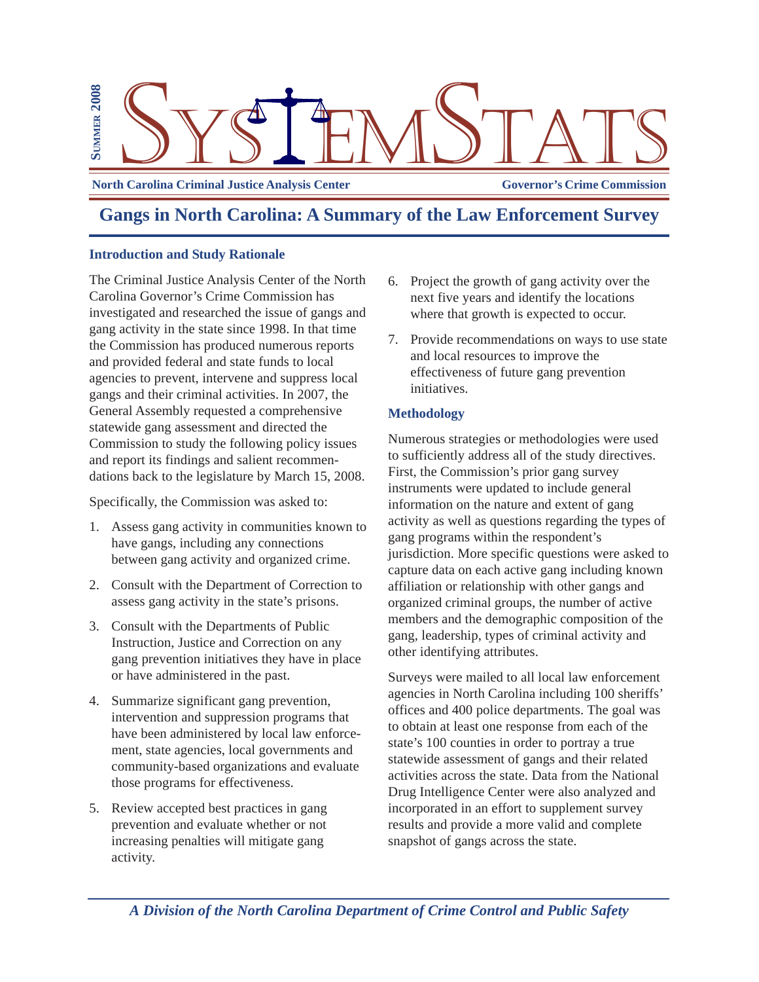

**North Carolina Criminal Justice Analysis Center Governor's Crime Commission** 

# **Gangs in North Carolina: A Summary of the Law Enforcement Survey**

# **Introduction and Study Rationale**

The Criminal Justice Analysis Center of the North Carolina Governor's Crime Commission has investigated and researched the issue of gangs and gang activity in the state since 1998. In that time the Commission has produced numerous reports and provided federal and state funds to local agencies to prevent, intervene and suppress local gangs and their criminal activities. In 2007, the General Assembly requested a comprehensive statewide gang assessment and directed the Commission to study the following policy issues and report its findings and salient recommendations back to the legislature by March 15, 2008.

Specifically, the Commission was asked to:

- 1. Assess gang activity in communities known to have gangs, including any connections between gang activity and organized crime.
- 2. Consult with the Department of Correction to assess gang activity in the state's prisons.
- 3. Consult with the Departments of Public Instruction, Justice and Correction on any gang prevention initiatives they have in place or have administered in the past.
- 4. Summarize significant gang prevention, intervention and suppression programs that have been administered by local law enforcement, state agencies, local governments and community-based organizations and evaluate those programs for effectiveness.
- 5. Review accepted best practices in gang prevention and evaluate whether or not increasing penalties will mitigate gang activity.
- 6. Project the growth of gang activity over the next five years and identify the locations where that growth is expected to occur.
- 7. Provide recommendations on ways to use state and local resources to improve the effectiveness of future gang prevention initiatives.

# **Methodology**

Numerous strategies or methodologies were used to sufficiently address all of the study directives. First, the Commission's prior gang survey instruments were updated to include general information on the nature and extent of gang activity as well as questions regarding the types of gang programs within the respondent's jurisdiction. More specific questions were asked to capture data on each active gang including known affiliation or relationship with other gangs and organized criminal groups, the number of active members and the demographic composition of the gang, leadership, types of criminal activity and other identifying attributes.

Surveys were mailed to all local law enforcement agencies in North Carolina including 100 sheriffs' offices and 400 police departments. The goal was to obtain at least one response from each of the state's 100 counties in order to portray a true statewide assessment of gangs and their related activities across the state. Data from the National Drug Intelligence Center were also analyzed and incorporated in an effort to supplement survey results and provide a more valid and complete snapshot of gangs across the state.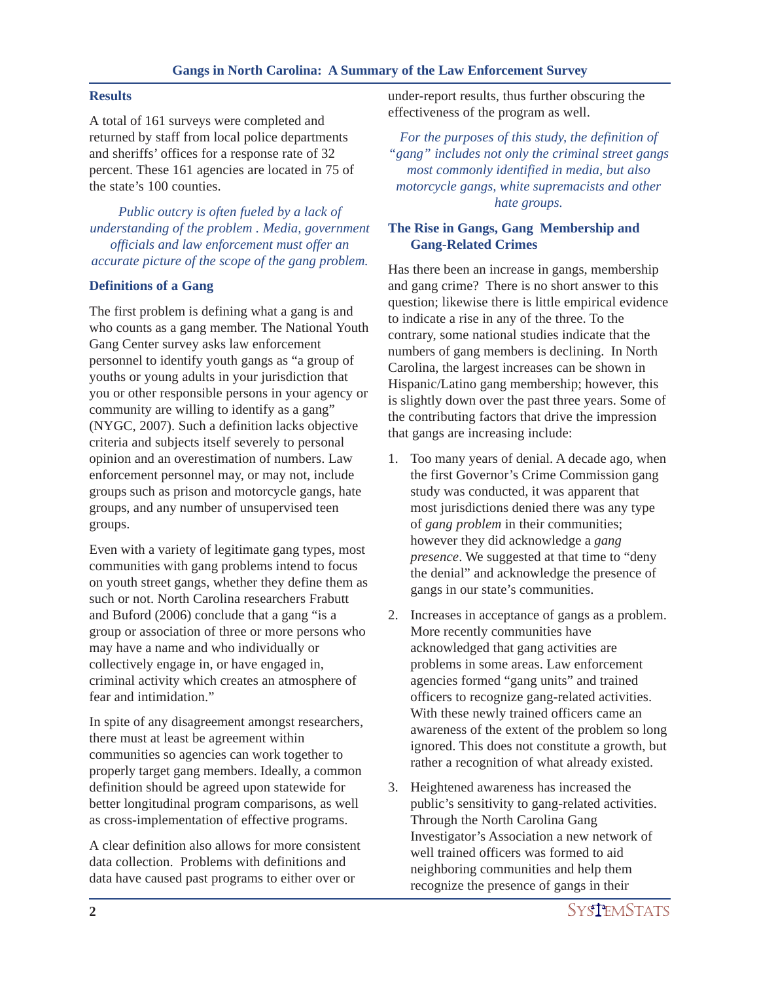## **Results**

A total of 161 surveys were completed and returned by staff from local police departments and sheriffs' offices for a response rate of 32 percent. These 161 agencies are located in 75 of the state's 100 counties.

*Public outcry is often fueled by a lack of understanding of the problem . Media, government officials and law enforcement must offer an accurate picture of the scope of the gang problem.*

## **Definitions of a Gang**

The first problem is defining what a gang is and who counts as a gang member. The National Youth Gang Center survey asks law enforcement personnel to identify youth gangs as "a group of youths or young adults in your jurisdiction that you or other responsible persons in your agency or community are willing to identify as a gang" (NYGC, 2007). Such a definition lacks objective criteria and subjects itself severely to personal opinion and an overestimation of numbers. Law enforcement personnel may, or may not, include groups such as prison and motorcycle gangs, hate groups, and any number of unsupervised teen groups.

Even with a variety of legitimate gang types, most communities with gang problems intend to focus on youth street gangs, whether they define them as such or not. North Carolina researchers Frabutt and Buford (2006) conclude that a gang "is a group or association of three or more persons who may have a name and who individually or collectively engage in, or have engaged in, criminal activity which creates an atmosphere of fear and intimidation."

In spite of any disagreement amongst researchers, there must at least be agreement within communities so agencies can work together to properly target gang members. Ideally, a common definition should be agreed upon statewide for better longitudinal program comparisons, as well as cross-implementation of effective programs.

A clear definition also allows for more consistent data collection. Problems with definitions and data have caused past programs to either over or

under-report results, thus further obscuring the effectiveness of the program as well.

*For the purposes of this study, the definition of "gang" includes not only the criminal street gangs most commonly identified in media, but also motorcycle gangs, white supremacists and other hate groups.*

# **The Rise in Gangs, Gang Membership and Gang-Related Crimes**

Has there been an increase in gangs, membership and gang crime? There is no short answer to this question; likewise there is little empirical evidence to indicate a rise in any of the three. To the contrary, some national studies indicate that the numbers of gang members is declining. In North Carolina, the largest increases can be shown in Hispanic/Latino gang membership; however, this is slightly down over the past three years. Some of the contributing factors that drive the impression that gangs are increasing include:

- 1. Too many years of denial. A decade ago, when the first Governor's Crime Commission gang study was conducted, it was apparent that most jurisdictions denied there was any type of *gang problem* in their communities; however they did acknowledge a *gang presence*. We suggested at that time to "deny the denial" and acknowledge the presence of gangs in our state's communities.
- 2. Increases in acceptance of gangs as a problem. More recently communities have acknowledged that gang activities are problems in some areas. Law enforcement agencies formed "gang units" and trained officers to recognize gang-related activities. With these newly trained officers came an awareness of the extent of the problem so long ignored. This does not constitute a growth, but rather a recognition of what already existed.
- 3. Heightened awareness has increased the public's sensitivity to gang-related activities. Through the North Carolina Gang Investigator's Association a new network of well trained officers was formed to aid neighboring communities and help them recognize the presence of gangs in their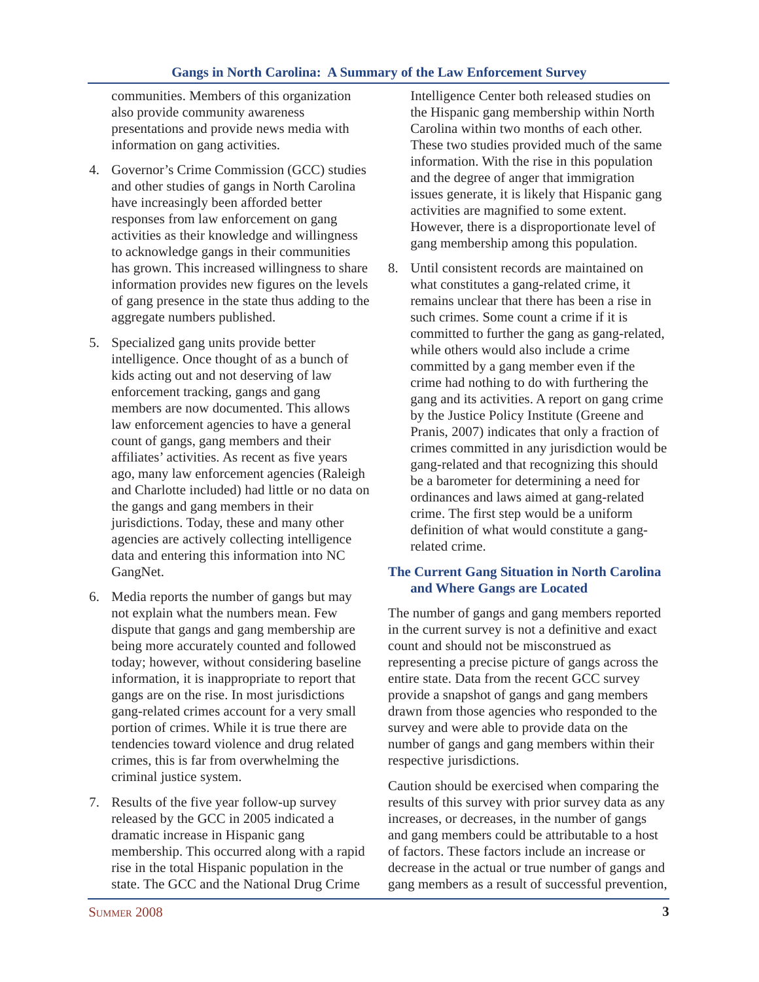communities. Members of this organization also provide community awareness presentations and provide news media with information on gang activities.

- 4. Governor's Crime Commission (GCC) studies and other studies of gangs in North Carolina have increasingly been afforded better responses from law enforcement on gang activities as their knowledge and willingness to acknowledge gangs in their communities has grown. This increased willingness to share information provides new figures on the levels of gang presence in the state thus adding to the aggregate numbers published.
- 5. Specialized gang units provide better intelligence. Once thought of as a bunch of kids acting out and not deserving of law enforcement tracking, gangs and gang members are now documented. This allows law enforcement agencies to have a general count of gangs, gang members and their affiliates' activities. As recent as five years ago, many law enforcement agencies (Raleigh and Charlotte included) had little or no data on the gangs and gang members in their jurisdictions. Today, these and many other agencies are actively collecting intelligence data and entering this information into NC GangNet.
- 6. Media reports the number of gangs but may not explain what the numbers mean. Few dispute that gangs and gang membership are being more accurately counted and followed today; however, without considering baseline information, it is inappropriate to report that gangs are on the rise. In most jurisdictions gang-related crimes account for a very small portion of crimes. While it is true there are tendencies toward violence and drug related crimes, this is far from overwhelming the criminal justice system.
- 7. Results of the five year follow-up survey released by the GCC in 2005 indicated a dramatic increase in Hispanic gang membership. This occurred along with a rapid rise in the total Hispanic population in the state. The GCC and the National Drug Crime

Intelligence Center both released studies on the Hispanic gang membership within North Carolina within two months of each other. These two studies provided much of the same information. With the rise in this population and the degree of anger that immigration issues generate, it is likely that Hispanic gang activities are magnified to some extent. However, there is a disproportionate level of gang membership among this population.

8. Until consistent records are maintained on what constitutes a gang-related crime, it remains unclear that there has been a rise in such crimes. Some count a crime if it is committed to further the gang as gang-related, while others would also include a crime committed by a gang member even if the crime had nothing to do with furthering the gang and its activities. A report on gang crime by the Justice Policy Institute (Greene and Pranis, 2007) indicates that only a fraction of crimes committed in any jurisdiction would be gang-related and that recognizing this should be a barometer for determining a need for ordinances and laws aimed at gang-related crime. The first step would be a uniform definition of what would constitute a gangrelated crime.

## **The Current Gang Situation in North Carolina and Where Gangs are Located**

The number of gangs and gang members reported in the current survey is not a definitive and exact count and should not be misconstrued as representing a precise picture of gangs across the entire state. Data from the recent GCC survey provide a snapshot of gangs and gang members drawn from those agencies who responded to the survey and were able to provide data on the number of gangs and gang members within their respective jurisdictions.

Caution should be exercised when comparing the results of this survey with prior survey data as any increases, or decreases, in the number of gangs and gang members could be attributable to a host of factors. These factors include an increase or decrease in the actual or true number of gangs and gang members as a result of successful prevention,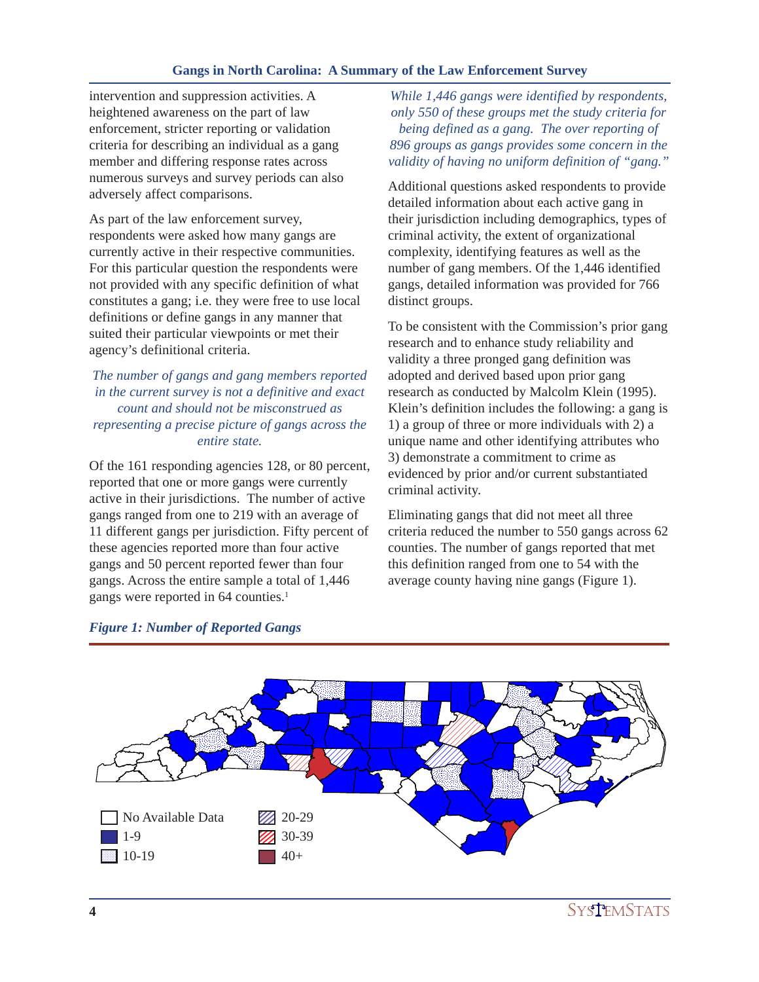intervention and suppression activities. A heightened awareness on the part of law enforcement, stricter reporting or validation criteria for describing an individual as a gang member and differing response rates across numerous surveys and survey periods can also adversely affect comparisons.

As part of the law enforcement survey, respondents were asked how many gangs are currently active in their respective communities. For this particular question the respondents were not provided with any specific definition of what constitutes a gang; i.e. they were free to use local definitions or define gangs in any manner that suited their particular viewpoints or met their agency's definitional criteria.

# *The number of gangs and gang members reported in the current survey is not a definitive and exact count and should not be misconstrued as representing a precise picture of gangs across the entire state.*

Of the 161 responding agencies 128, or 80 percent, reported that one or more gangs were currently active in their jurisdictions. The number of active gangs ranged from one to 219 with an average of 11 different gangs per jurisdiction. Fifty percent of these agencies reported more than four active gangs and 50 percent reported fewer than four gangs. Across the entire sample a total of 1,446 gangs were reported in 64 counties.<sup>1</sup>

*While 1,446 gangs were identified by respondents, only 550 of these groups met the study criteria for being defined as a gang. The over reporting of 896 groups as gangs provides some concern in the validity of having no uniform definition of "gang."*

Additional questions asked respondents to provide detailed information about each active gang in their jurisdiction including demographics, types of criminal activity, the extent of organizational complexity, identifying features as well as the number of gang members. Of the 1,446 identified gangs, detailed information was provided for 766 distinct groups.

To be consistent with the Commission's prior gang research and to enhance study reliability and validity a three pronged gang definition was adopted and derived based upon prior gang research as conducted by Malcolm Klein (1995). Klein's definition includes the following: a gang is 1) a group of three or more individuals with 2) a unique name and other identifying attributes who 3) demonstrate a commitment to crime as evidenced by prior and/or current substantiated criminal activity.

Eliminating gangs that did not meet all three criteria reduced the number to 550 gangs across 62 counties. The number of gangs reported that met this definition ranged from one to 54 with the average county having nine gangs (Figure 1).



#### *Figure 1: Number of Reported Gangs*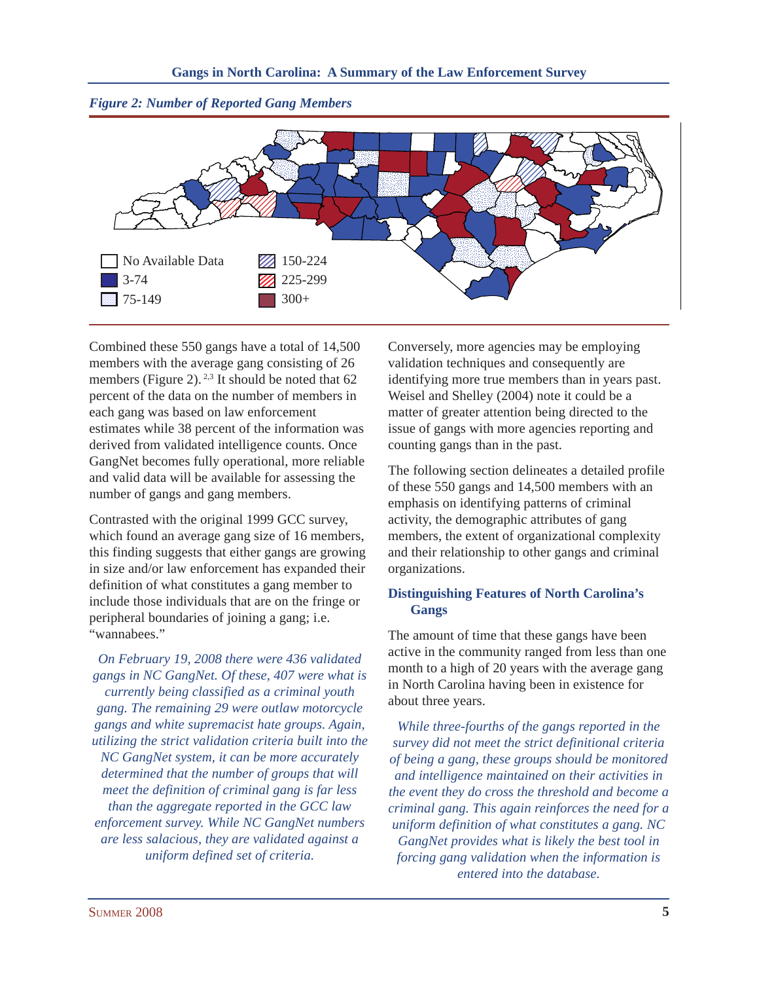

*Figure 2: Number of Reported Gang Members*

Combined these 550 gangs have a total of 14,500 members with the average gang consisting of 26 members (Figure 2).<sup>2,3</sup> It should be noted that  $62$ percent of the data on the number of members in each gang was based on law enforcement estimates while 38 percent of the information was derived from validated intelligence counts. Once GangNet becomes fully operational, more reliable and valid data will be available for assessing the number of gangs and gang members.

Contrasted with the original 1999 GCC survey, which found an average gang size of 16 members, this finding suggests that either gangs are growing in size and/or law enforcement has expanded their definition of what constitutes a gang member to include those individuals that are on the fringe or peripheral boundaries of joining a gang; i.e. "wannabees."

*On February 19, 2008 there were 436 validated gangs in NC GangNet. Of these, 407 were what is currently being classified as a criminal youth gang. The remaining 29 were outlaw motorcycle gangs and white supremacist hate groups. Again, utilizing the strict validation criteria built into the NC GangNet system, it can be more accurately determined that the number of groups that will meet the definition of criminal gang is far less than the aggregate reported in the GCC law enforcement survey. While NC GangNet numbers are less salacious, they are validated against a uniform defined set of criteria.*

Conversely, more agencies may be employing validation techniques and consequently are identifying more true members than in years past. Weisel and Shelley (2004) note it could be a matter of greater attention being directed to the issue of gangs with more agencies reporting and counting gangs than in the past.

The following section delineates a detailed profile of these 550 gangs and 14,500 members with an emphasis on identifying patterns of criminal activity, the demographic attributes of gang members, the extent of organizational complexity and their relationship to other gangs and criminal organizations.

# **Distinguishing Features of North Carolina's Gangs**

The amount of time that these gangs have been active in the community ranged from less than one month to a high of 20 years with the average gang in North Carolina having been in existence for about three years.

*While three-fourths of the gangs reported in the survey did not meet the strict definitional criteria of being a gang, these groups should be monitored and intelligence maintained on their activities in the event they do cross the threshold and become a criminal gang. This again reinforces the need for a uniform definition of what constitutes a gang. NC GangNet provides what is likely the best tool in forcing gang validation when the information is entered into the database.*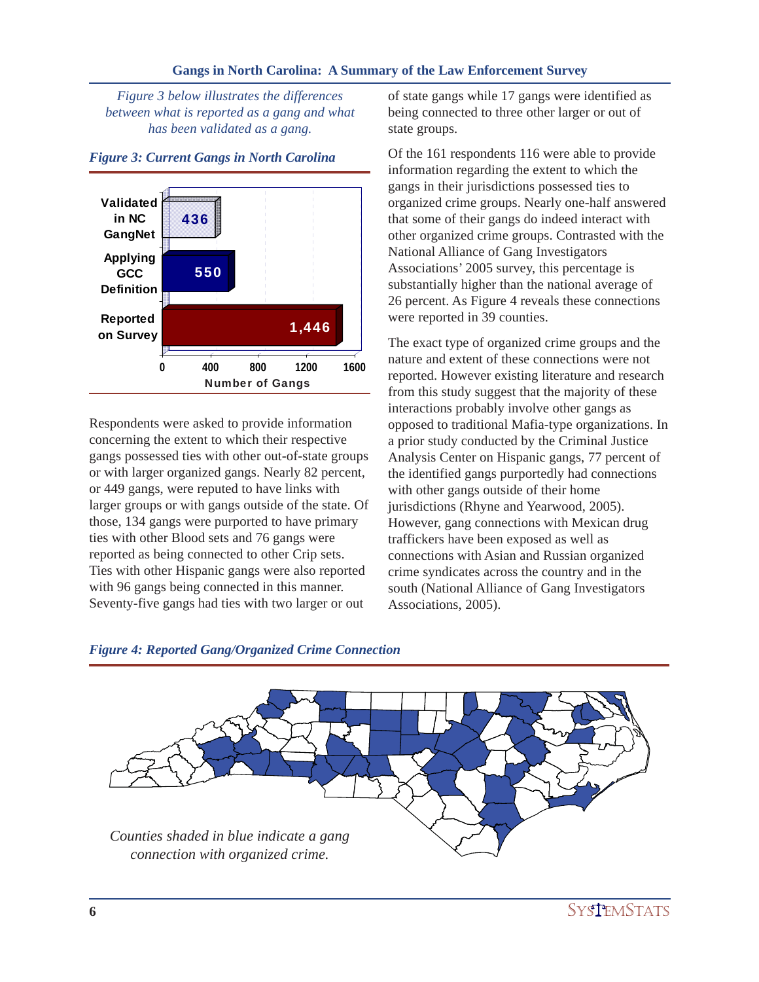*Figure 3 below illustrates the differences between what is reported as a gang and what has been validated as a gang.*



## *Figure 3: Current Gangs in North Carolina*

Respondents were asked to provide information concerning the extent to which their respective gangs possessed ties with other out-of-state groups or with larger organized gangs. Nearly 82 percent, or 449 gangs, were reputed to have links with larger groups or with gangs outside of the state. Of those, 134 gangs were purported to have primary ties with other Blood sets and 76 gangs were reported as being connected to other Crip sets. Ties with other Hispanic gangs were also reported with 96 gangs being connected in this manner. Seventy-five gangs had ties with two larger or out

of state gangs while 17 gangs were identified as being connected to three other larger or out of state groups.

Of the 161 respondents 116 were able to provide information regarding the extent to which the gangs in their jurisdictions possessed ties to organized crime groups. Nearly one-half answered that some of their gangs do indeed interact with other organized crime groups. Contrasted with the National Alliance of Gang Investigators Associations' 2005 survey, this percentage is substantially higher than the national average of 26 percent. As Figure 4 reveals these connections were reported in 39 counties.

The exact type of organized crime groups and the nature and extent of these connections were not reported. However existing literature and research from this study suggest that the majority of these interactions probably involve other gangs as opposed to traditional Mafia-type organizations. In a prior study conducted by the Criminal Justice Analysis Center on Hispanic gangs, 77 percent of the identified gangs purportedly had connections with other gangs outside of their home jurisdictions (Rhyne and Yearwood, 2005). However, gang connections with Mexican drug traffickers have been exposed as well as connections with Asian and Russian organized crime syndicates across the country and in the south (National Alliance of Gang Investigators Associations, 2005).



## *Figure 4: Reported Gang/Organized Crime Connection*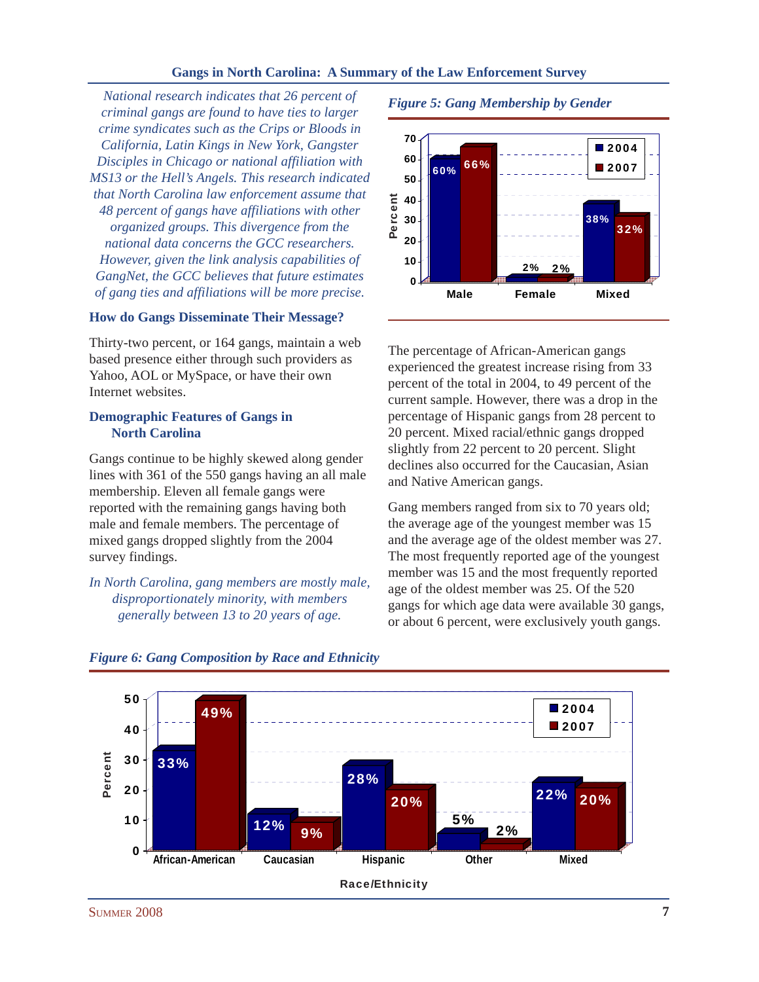*National research indicates that 26 percent of criminal gangs are found to have ties to larger crime syndicates such as the Crips or Bloods in California, Latin Kings in New York, Gangster Disciples in Chicago or national affiliation with MS13 or the Hell's Angels. This research indicated that North Carolina law enforcement assume that 48 percent of gangs have affiliations with other organized groups. This divergence from the national data concerns the GCC researchers. However, given the link analysis capabilities of GangNet, the GCC believes that future estimates of gang ties and affiliations will be more precise.*

## **How do Gangs Disseminate Their Message?**

Thirty-two percent, or 164 gangs, maintain a web based presence either through such providers as Yahoo, AOL or MySpace, or have their own Internet websites.

## **Demographic Features of Gangs in North Carolina**

Gangs continue to be highly skewed along gender lines with 361 of the 550 gangs having an all male membership. Eleven all female gangs were reported with the remaining gangs having both male and female members. The percentage of mixed gangs dropped slightly from the 2004 survey findings.

*In North Carolina, gang members are mostly male, disproportionately minority, with members generally between 13 to 20 years of age.*

*Figure 5: Gang Membership by Gender*



The percentage of African-American gangs experienced the greatest increase rising from 33 percent of the total in 2004, to 49 percent of the current sample. However, there was a drop in the percentage of Hispanic gangs from 28 percent to 20 percent. Mixed racial/ethnic gangs dropped slightly from 22 percent to 20 percent. Slight declines also occurred for the Caucasian, Asian and Native American gangs.

Gang members ranged from six to 70 years old; the average age of the youngest member was 15 and the average age of the oldest member was 27. The most frequently reported age of the youngest member was 15 and the most frequently reported age of the oldest member was 25. Of the 520 gangs for which age data were available 30 gangs, or about 6 percent, were exclusively youth gangs.



## *Figure 6: Gang Composition by Race and Ethnicity*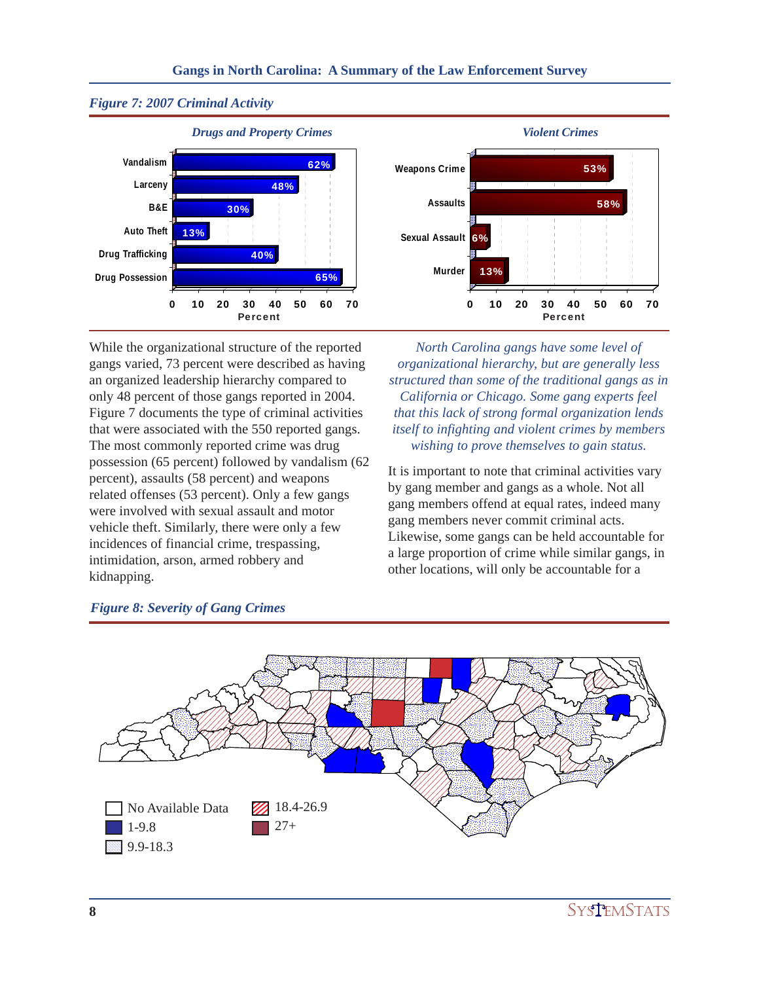



While the organizational structure of the reported gangs varied, 73 percent were described as having an organized leadership hierarchy compared to only 48 percent of those gangs reported in 2004. Figure 7 documents the type of criminal activities that were associated with the 550 reported gangs. The most commonly reported crime was drug possession (65 percent) followed by vandalism (62 percent), assaults (58 percent) and weapons related offenses (53 percent). Only a few gangs were involved with sexual assault and motor vehicle theft. Similarly, there were only a few incidences of financial crime, trespassing, intimidation, arson, armed robbery and kidnapping.

*North Carolina gangs have some level of organizational hierarchy, but are generally less structured than some of the traditional gangs as in California or Chicago. Some gang experts feel that this lack of strong formal organization lends itself to infighting and violent crimes by members wishing to prove themselves to gain status.*

It is important to note that criminal activities vary by gang member and gangs as a whole. Not all gang members offend at equal rates, indeed many gang members never commit criminal acts. Likewise, some gangs can be held accountable for a large proportion of crime while similar gangs, in other locations, will only be accountable for a



# *Figure 8: Severity of Gang Crimes*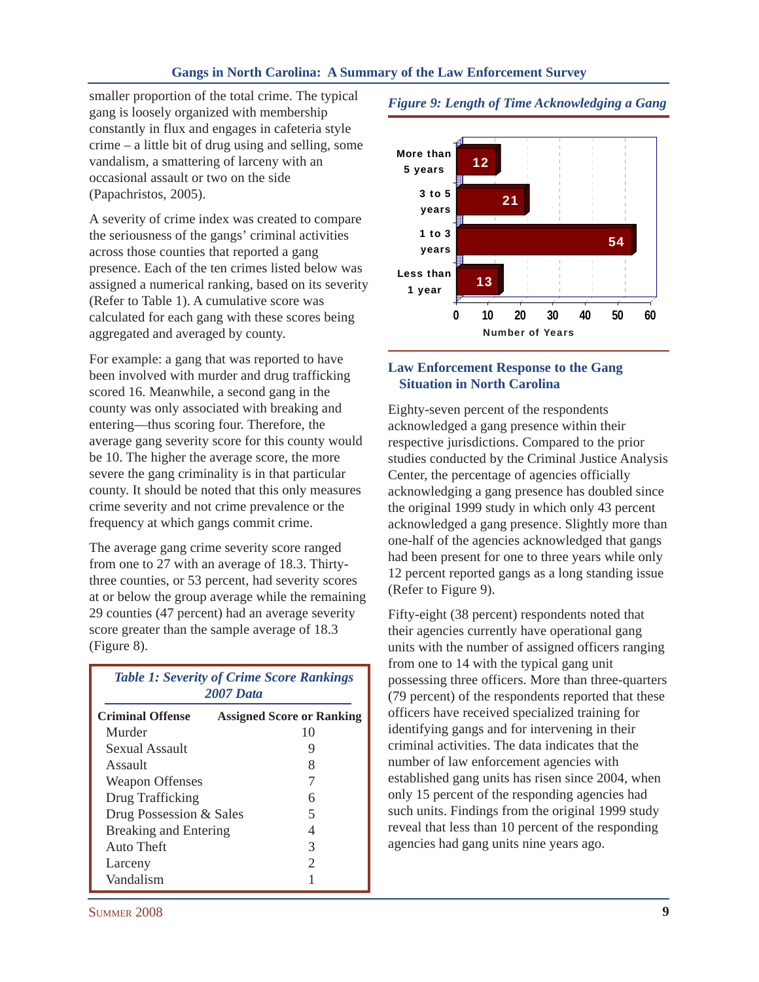smaller proportion of the total crime. The typical gang is loosely organized with membership constantly in flux and engages in cafeteria style crime – a little bit of drug using and selling, some vandalism, a smattering of larceny with an occasional assault or two on the side (Papachristos, 2005).

A severity of crime index was created to compare the seriousness of the gangs' criminal activities across those counties that reported a gang presence. Each of the ten crimes listed below was assigned a numerical ranking, based on its severity (Refer to Table 1). A cumulative score was calculated for each gang with these scores being aggregated and averaged by county.

For example: a gang that was reported to have been involved with murder and drug trafficking scored 16. Meanwhile, a second gang in the county was only associated with breaking and entering—thus scoring four. Therefore, the average gang severity score for this county would be 10. The higher the average score, the more severe the gang criminality is in that particular county. It should be noted that this only measures crime severity and not crime prevalence or the frequency at which gangs commit crime.

The average gang crime severity score ranged from one to 27 with an average of 18.3. Thirtythree counties, or 53 percent, had severity scores at or below the group average while the remaining 29 counties (47 percent) had an average severity score greater than the sample average of 18.3 (Figure 8).

| <b>Table 1: Severity of Crime Score Rankings</b><br><b>2007 Data</b> |                                  |
|----------------------------------------------------------------------|----------------------------------|
| <b>Criminal Offense</b>                                              | <b>Assigned Score or Ranking</b> |
| Murder                                                               | 10                               |
| Sexual Assault                                                       | 9                                |
| Assault                                                              | 8                                |
| <b>Weapon Offenses</b>                                               | 7                                |
| Drug Trafficking                                                     | 6                                |
| Drug Possession & Sales                                              | 5                                |
| <b>Breaking and Entering</b>                                         | 4                                |
| Auto Theft                                                           | 3                                |
| Larceny                                                              | $\mathcal{D}_{\mathcal{L}}$      |
| Vandalism                                                            |                                  |





## **Law Enforcement Response to the Gang Situation in North Carolina**

Eighty-seven percent of the respondents acknowledged a gang presence within their respective jurisdictions. Compared to the prior studies conducted by the Criminal Justice Analysis Center, the percentage of agencies officially acknowledging a gang presence has doubled since the original 1999 study in which only 43 percent acknowledged a gang presence. Slightly more than one-half of the agencies acknowledged that gangs had been present for one to three years while only 12 percent reported gangs as a long standing issue (Refer to Figure 9).

Fifty-eight (38 percent) respondents noted that their agencies currently have operational gang units with the number of assigned officers ranging from one to 14 with the typical gang unit possessing three officers. More than three-quarters (79 percent) of the respondents reported that these officers have received specialized training for identifying gangs and for intervening in their criminal activities. The data indicates that the number of law enforcement agencies with established gang units has risen since 2004, when only 15 percent of the responding agencies had such units. Findings from the original 1999 study reveal that less than 10 percent of the responding agencies had gang units nine years ago.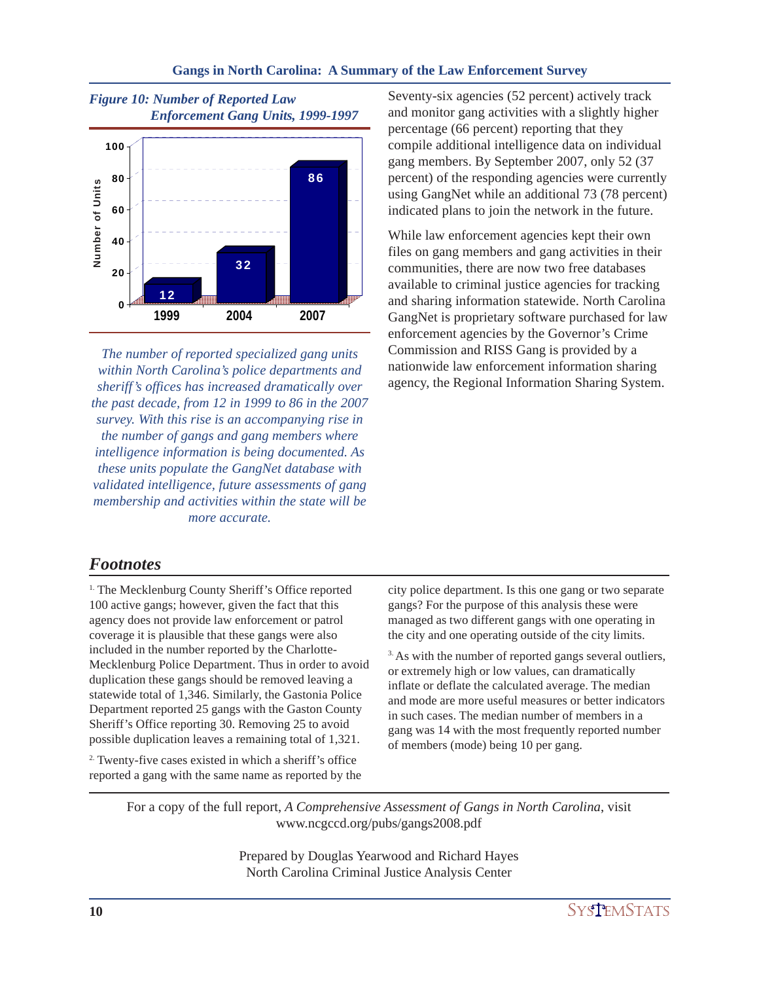

*The number of reported specialized gang units within North Carolina's police departments and sheriff's offices has increased dramatically over the past decade, from 12 in 1999 to 86 in the 2007 survey. With this rise is an accompanying rise in the number of gangs and gang members where intelligence information is being documented. As these units populate the GangNet database with validated intelligence, future assessments of gang membership and activities within the state will be more accurate.*

Seventy-six agencies (52 percent) actively track and monitor gang activities with a slightly higher percentage (66 percent) reporting that they compile additional intelligence data on individual gang members. By September 2007, only 52 (37 percent) of the responding agencies were currently using GangNet while an additional 73 (78 percent) indicated plans to join the network in the future.

While law enforcement agencies kept their own files on gang members and gang activities in their communities, there are now two free databases available to criminal justice agencies for tracking and sharing information statewide. North Carolina GangNet is proprietary software purchased for law enforcement agencies by the Governor's Crime Commission and RISS Gang is provided by a nationwide law enforcement information sharing agency, the Regional Information Sharing System.

# *Footnotes*

<sup>1.</sup> The Mecklenburg County Sheriff's Office reported 100 active gangs; however, given the fact that this agency does not provide law enforcement or patrol coverage it is plausible that these gangs were also included in the number reported by the Charlotte-Mecklenburg Police Department. Thus in order to avoid duplication these gangs should be removed leaving a statewide total of 1,346. Similarly, the Gastonia Police Department reported 25 gangs with the Gaston County Sheriff's Office reporting 30. Removing 25 to avoid possible duplication leaves a remaining total of 1,321.

2. Twenty-five cases existed in which a sheriff's office reported a gang with the same name as reported by the city police department. Is this one gang or two separate gangs? For the purpose of this analysis these were managed as two different gangs with one operating in the city and one operating outside of the city limits.

<sup>3.</sup> As with the number of reported gangs several outliers, or extremely high or low values, can dramatically inflate or deflate the calculated average. The median and mode are more useful measures or better indicators in such cases. The median number of members in a gang was 14 with the most frequently reported number of members (mode) being 10 per gang.

For a copy of the full report, *A Comprehensive Assessment of Gangs in North Carolina*, visit www.ncgccd.org/pubs/gangs2008.pdf

> Prepared by Douglas Yearwood and Richard Hayes North Carolina Criminal Justice Analysis Center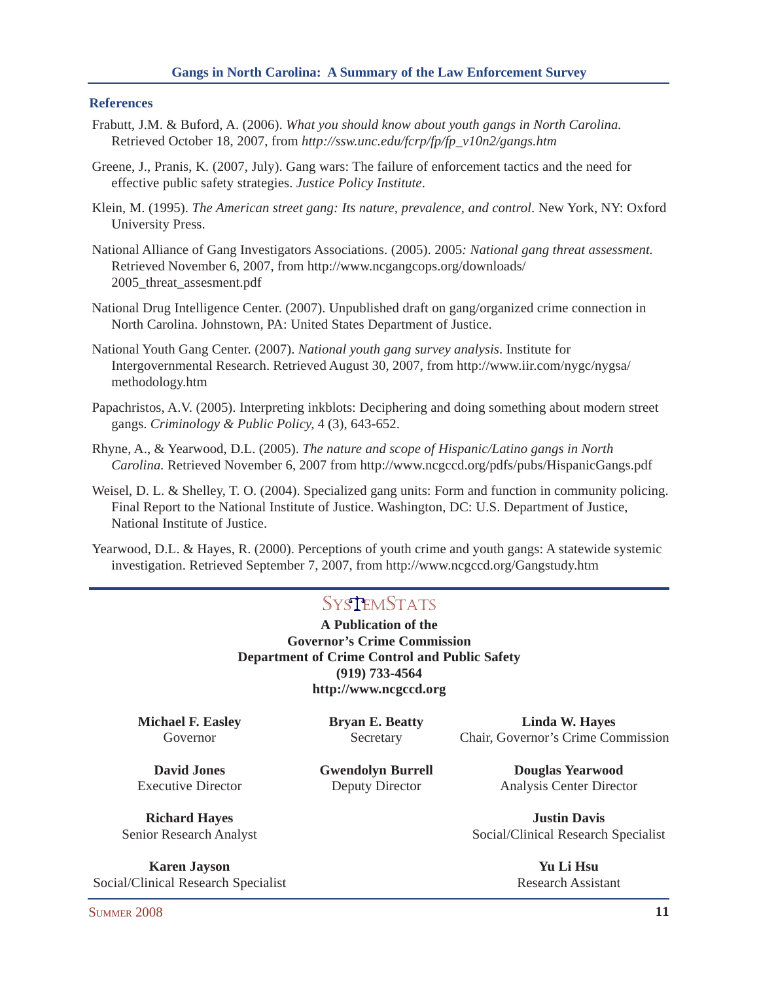#### **References**

- Frabutt, J.M. & Buford, A. (2006). *What you should know about youth gangs in North Carolina.* Retrieved October 18, 2007, from *http://ssw.unc.edu/fcrp/fp/fp\_v10n2/gangs.htm*
- Greene, J., Pranis, K. (2007, July). Gang wars: The failure of enforcement tactics and the need for effective public safety strategies. *Justice Policy Institute*.
- Klein, M. (1995). *The American street gang: Its nature, prevalence, and control*. New York, NY: Oxford University Press.
- National Alliance of Gang Investigators Associations. (2005). 2005*: National gang threat assessment.* Retrieved November 6, 2007, from http://www.ncgangcops.org/downloads/ 2005\_threat\_assesment.pdf
- National Drug Intelligence Center. (2007). Unpublished draft on gang/organized crime connection in North Carolina. Johnstown, PA: United States Department of Justice.
- National Youth Gang Center. (2007). *National youth gang survey analysis*. Institute for Intergovernmental Research. Retrieved August 30, 2007, from http://www.iir.com/nygc/nygsa/ methodology.htm
- Papachristos, A.V. (2005). Interpreting inkblots: Deciphering and doing something about modern street gangs. *Criminology & Public Policy,* 4 (3), 643-652.
- Rhyne, A., & Yearwood, D.L. (2005). *The nature and scope of Hispanic/Latino gangs in North Carolina.* Retrieved November 6, 2007 from http://www.ncgccd.org/pdfs/pubs/HispanicGangs.pdf
- Weisel, D. L. & Shelley, T. O. (2004). Specialized gang units: Form and function in community policing. Final Report to the National Institute of Justice. Washington, DC: U.S. Department of Justice, National Institute of Justice.
- Yearwood, D.L. & Hayes, R. (2000). Perceptions of youth crime and youth gangs: A statewide systemic investigation. Retrieved September 7, 2007, from http://www.ncgccd.org/Gangstudy.htm

# **SystemStats**

**A Publication of the Governor's Crime Commission Department of Crime Control and Public Safety (919) 733-4564 http://www.ncgccd.org**

**Michael F. Easley Bryan E. Beatty Linda W. Hayes** Governor Secretary Chair, Governor's Crime Commission

**David Jones Gwendolyn Burrell Douglas Yearwood** Executive Director Deputy Director Analysis Center Director

**Richard Hayes Justin Davis** Senior Research Analyst Social/Clinical Research Specialist

**Karen Jayson Yu Li Hsu** Social/Clinical Research Specialist Research Assistant Research Assistant